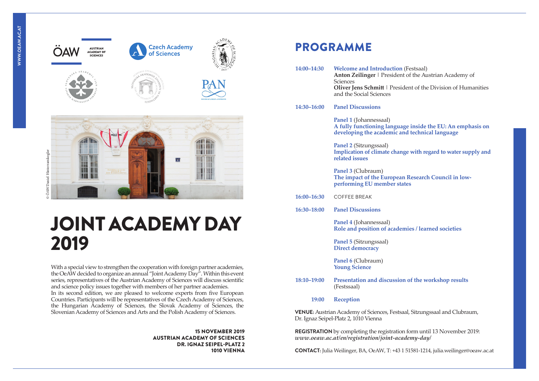



# JOINT ACADEMY DAY 2019

With a special view to strengthen the cooperation with foreign partner academies, the OeAW decided to organize an annual "Joint Academy Day". Within this event series, representatives of the Austrian Academy of Sciences will discuss scientific and science policy issues together with members of her partner academies. In its second edition, we are pleased to welcome experts from five European Countries. Participants will be representatives of the Czech Academy of Sciences, the Hungarian Academy of Sciences, the Slovak Academy of Sciences, the Slovenian Academy of Sciences and Arts and the Polish Academy of Sciences.

> 15 NOVEMBER 2019 AUSTRIAN ACADEMY OF SCIENCES DR. IGNAZ SEIPEL-PLATZ 2 1010 VIENNA

## PROGRAMME

| 14:00-14:30                                                                                                               | <b>Welcome and Introduction (Festsaal)</b><br>Anton Zeilinger   President of the Austrian Academy of<br>Sciences                              |
|---------------------------------------------------------------------------------------------------------------------------|-----------------------------------------------------------------------------------------------------------------------------------------------|
|                                                                                                                           | <b>Oliver Jens Schmitt</b>   President of the Division of Humanities<br>and the Social Sciences                                               |
| 14:30–16:00                                                                                                               | <b>Panel Discussions</b>                                                                                                                      |
|                                                                                                                           | <b>Panel 1 (Johannessaal)</b><br>A fully functioning language inside the EU: An emphasis on<br>developing the academic and technical language |
|                                                                                                                           | <b>Panel 2 (Sitzungssaal)</b><br>Implication of climate change with regard to water supply and<br>related issues                              |
|                                                                                                                           | Panel 3 (Clubraum)<br>The impact of the European Research Council in low-<br>performing EU member states                                      |
| $16:00 - 16:30$                                                                                                           | <b>COFFEE BREAK</b>                                                                                                                           |
| 16:30-18:00                                                                                                               | <b>Panel Discussions</b>                                                                                                                      |
|                                                                                                                           | <b>Panel 4 (Johannessaal)</b><br>Role and position of academies / learned societies                                                           |
|                                                                                                                           | <b>Panel 5 (Sitzungssaal)</b><br><b>Direct democracy</b>                                                                                      |
|                                                                                                                           | Panel 6 (Clubraum)<br><b>Young Science</b>                                                                                                    |
| 18:10-19:00                                                                                                               | Presentation and discussion of the workshop results<br>(Festssaal)                                                                            |
| 19:00                                                                                                                     | Reception                                                                                                                                     |
| <b>VENUE:</b> Austrian Academy of Sciences, Festsaal, Sitzungssaal and Clubraum,<br>Dr. Ignaz Seipel-Platz 2, 1010 Vienna |                                                                                                                                               |

**REGISTRATION** by completing the registration form until 13 November 2019: *[www.oeaw.ac.at/en/registration/joint-academy-day/](http://www.oeaw.ac.at/en/registration/joint-academy-day/)*

**CONTACT:** Julia Weilinger, BA, OeAW, T: +43 1 51581-1214, [julia.weilinger@oeaw.ac.at](mailto:%20julia.weilinger%40oeaw.ac.at?subject=)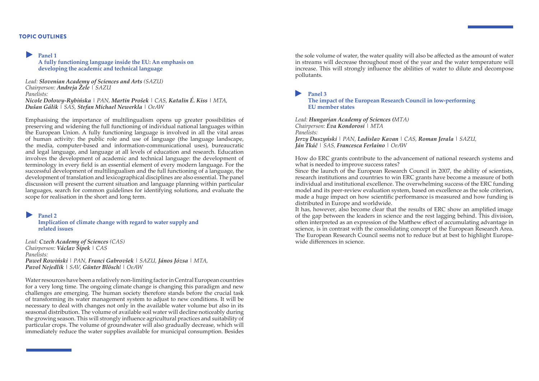#### TOPIC OUTLINES

#### **Panel 1**

**A fully functioning language inside the EU: An emphasis on developing the academic and technical language**

*Lead: Slovenian Academy of Sciences and Arts (SAZU) Chairperson: Andreja Žele | SAZU Panelists: Nicole Dołowy-Rybińska | PAN, Martin Prošek | CAS, Katalin É. Kiss | MTA, Dušan Gálik | SAS, Stefan Michael Newerkla | OeAW*

Emphasising the importance of multilingualism opens up greater possibilities of preserving and widening the full functioning of individual national languages within the European Union. A fully functioning language is involved in all the vital areas of human activity: the public role and use of language (the language landscape, the media, computer-based and information-communicational uses), bureaucratic and legal language, and language at all levels of education and research. Education involves the development of academic and technical language: the development of terminology in every field is an essential element of every modern language. For the successful development of multilingualism and the full functioning of a language, the development of translation and lexicographical disciplines are also essential. The panel discussion will present the current situation and language planning within particular languages, search for common guidelines for identifying solutions, and evaluate the scope for realisation in the short and long term.

#### **Panel 2**

**Implication of climate change with regard to water supply and related issues**

*Lead: Czech Academy of Sciences (CAS) Chairperson: Václav Šípek | CAS Panelists: Paweł Rowiński | PAN, Franci Gabrovšek | SAZU, János Józsa | MTA, Pavol Nejedlik | SAV, Günter Blöschl | OeAW*

Water resources have been a relatively non-limiting factor in Central European countries for a very long time. The ongoing climate change is changing this paradigm and new challenges are emerging. The human society therefore stands before the crucial task of transforming its water management system to adjust to new conditions. It will be necessary to deal with changes not only in the available water volume but also in its seasonal distribution. The volume of available soil water will decline noticeably during the growing season. This will strongly influence agricultural practices and suitability of particular crops. The volume of groundwater will also gradually decrease, which will immediately reduce the water supplies available for municipal consumption. Besides the sole volume of water, the water quality will also be affected as the amount of water in streams will decrease throughout most of the year and the water temperature will increase. This will strongly influence the abilities of water to dilute and decompose pollutants.

#### **Panel 3**

**The impact of the European Research Council in low-performing EU member states**

*Lead: Hungarian Academy of Sciences (MTA) Chairperson: Éva Kondorosi | MTA Panelists: Jerzy Duszyński | PAN, Ladislav Kavan | CAS, Roman Jerala | SAZU, Ján Tkáč | SAS, Francesca Ferlaino | OeAW*

How do ERC grants contribute to the advancement of national research systems and what is needed to improve success rates?

Since the launch of the European Research Council in 2007, the ability of scientists, research institutions and countries to win ERC grants have become a measure of both individual and institutional excellence. The overwhelming success of the ERC funding model and its peer-review evaluation system, based on excellence as the sole criterion, made a huge impact on how scientific performance is measured and how funding is distributed in Europe and worldwide.

It has, however, also become clear that the results of ERC show an amplified image of the gap between the leaders in science and the rest lagging behind. This division, often interpreted as an expression of the Matthew effect of accumulating advantage in science, is in contrast with the consolidating concept of the European Research Area. The European Research Council seems not to reduce but at best to highlight Europewide differences in science.